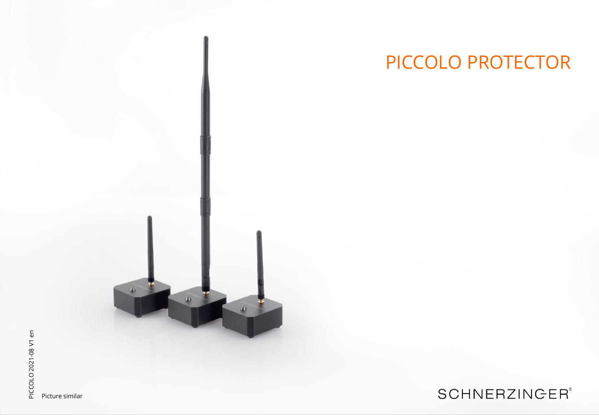

Picture similar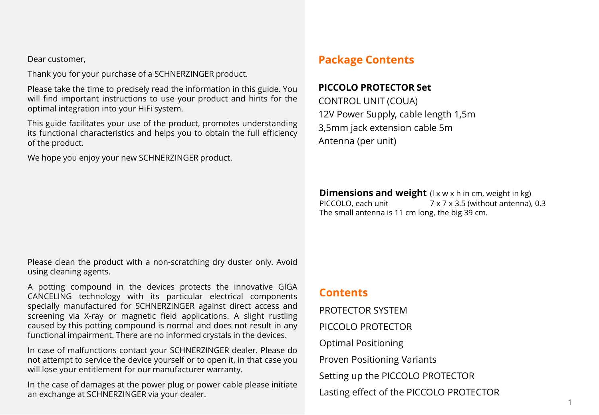Dear customer,

Thank you for your purchase of a SCHNERZINGER product.

Please take the time to precisely read the information in this guide. You will find important instructions to use your product and hints for the optimal integration into your HiFi system.

This guide facilitates your use of the product, promotes understanding its functional characteristics and helps you to obtain the full efficiency of the product.

We hope you enjoy your new SCHNERZINGER product.

## **Package Contents**

#### **PICCOLO PROTECTOR Set**

CONTROL UNIT (COUA) 12V Power Supply, cable length 1,5m 3,5mm jack extension cable 5m Antenna (per unit)

**Dimensions and weight** (I x w x h in cm, weight in kg)<br>PICCOLO, each unit  $7 \times 7 \times 3.5$  (without antenna).  $7 \times 7 \times 3.5$  (without antenna), 0.3 The small antenna is 11 cm long, the big 39 cm.

Please clean the product with a non-scratching dry duster only. Avoid using cleaning agents.

A potting compound in the devices protects the innovative GIGA CANCELING technology with its particular electrical components specially manufactured for SCHNERZINGER against direct access and screening via X-ray or magnetic field applications. A slight rustling caused by this potting compound is normal and does not result in any functional impairment. There are no informed crystals in the devices.

In case of malfunctions contact your SCHNERZINGER dealer. Please do not attempt to service the device yourself or to open it, in that case you will lose your entitlement for our manufacturer warranty.

In the case of damages at the power plug or power cable please initiate an exchange at SCHNERZINGER via your dealer.

#### **Contents**

PROTECTOR SYSTEM PICCOLO PROTECTOR Optimal Positioning Proven Positioning Variants Setting up the PICCOLO PROTECTOR Lasting effect of the PICCOLO PROTECTOR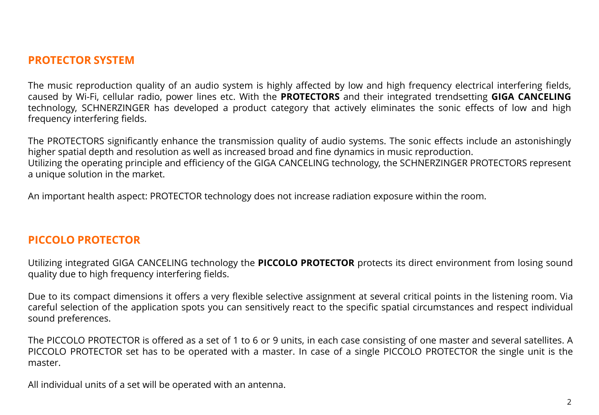#### **PROTECTOR SYSTEM**

The music reproduction quality of an audio system is highly affected by low and high frequency electrical interfering fields, caused by Wi-Fi, cellular radio, power lines etc. With the **PROTECTORS** and their integrated trendsetting **GIGA CANCELING** technology, SCHNERZINGER has developed a product category that actively eliminates the sonic effects of low and high frequency interfering fields.

The PROTECTORS significantly enhance the transmission quality of audio systems. The sonic effects include an astonishingly higher spatial depth and resolution as well as increased broad and fine dynamics in music reproduction. Utilizing the operating principle and efficiency of the GIGA CANCELING technology, the SCHNERZINGER PROTECTORS represent a unique solution in the market.

An important health aspect: PROTECTOR technology does not increase radiation exposure within the room.

#### **PICCOLO PROTECTOR**

Utilizing integrated GIGA CANCELING technology the **PICCOLO PROTECTOR** protects its direct environment from losing sound quality due to high frequency interfering fields.

Due to its compact dimensions it offers a very flexible selective assignment at several critical points in the listening room. Via careful selection of the application spots you can sensitively react to the specific spatial circumstances and respect individual sound preferences.

The PICCOLO PROTECTOR is offered as a set of 1 to 6 or 9 units, in each case consisting of one master and several satellites. A PICCOLO PROTECTOR set has to be operated with a master. In case of a single PICCOLO PROTECTOR the single unit is the master.

All individual units of a set will be operated with an antenna.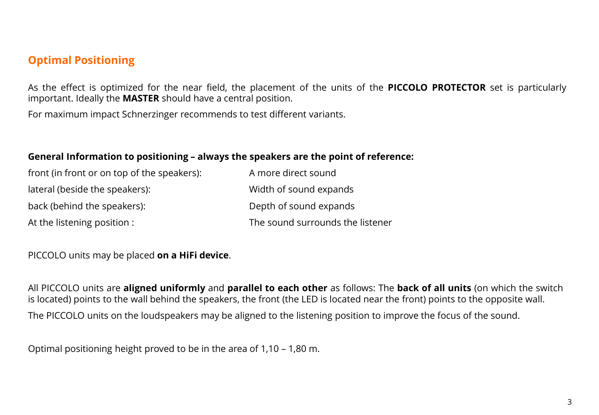## **Optimal Positioning**

As the effect is optimized for the near field, the placement of the units of the **PICCOLO PROTECTOR** set is particularly important. Ideally the **MASTER** should have a central position.

For maximum impact Schnerzinger recommends to test different variants.

#### **General Information to positioning – always the speakers are the point of reference:**

| front (in front or on top of the speakers): | A more direct sound              |
|---------------------------------------------|----------------------------------|
| lateral (beside the speakers):              | Width of sound expands           |
| back (behind the speakers):                 | Depth of sound expands           |
| At the listening position :                 | The sound surrounds the listener |

#### PICCOLO units may be placed **on a HiFi device**.

All PICCOLO units are **aligned uniformly** and **parallel to each other** as follows: The **back of all units** (on which the switch is located) points to the wall behind the speakers, the front (the LED is located near the front) points to the opposite wall. The PICCOLO units on the loudspeakers may be aligned to the listening position to improve the focus of the sound.

Optimal positioning height proved to be in the area of 1,10 – 1,80 m.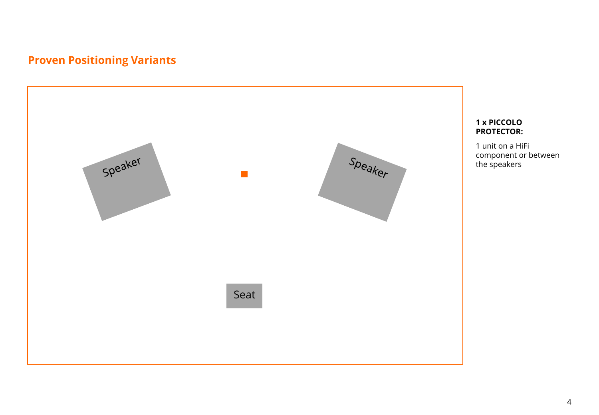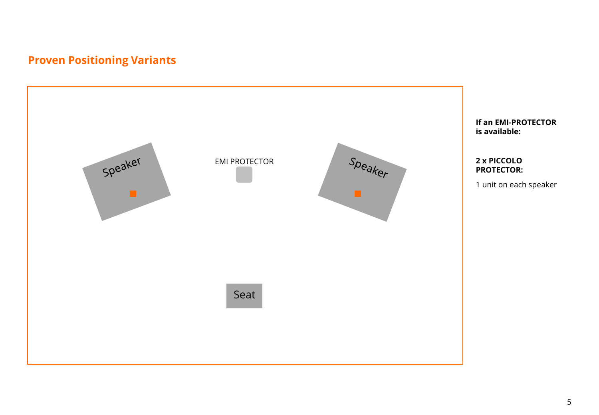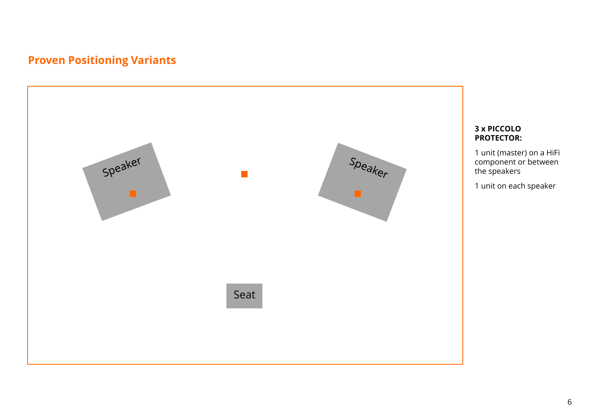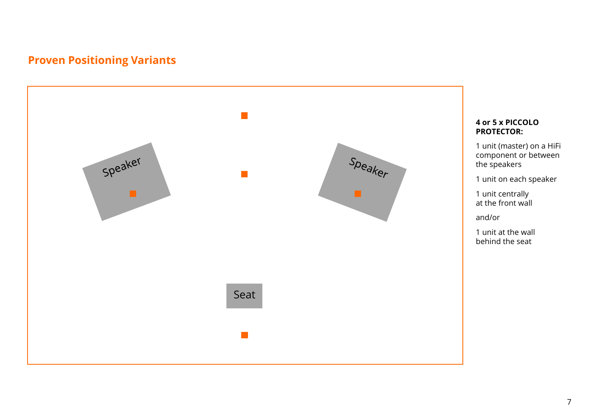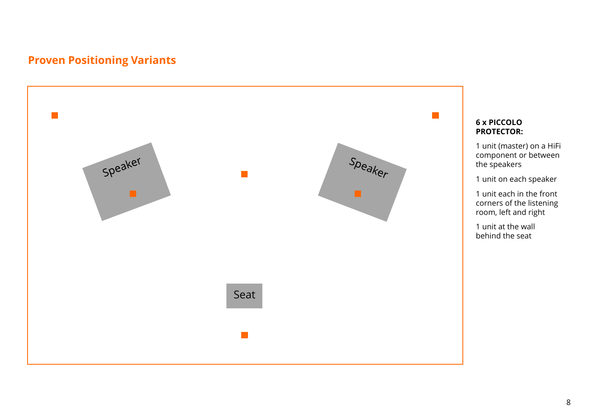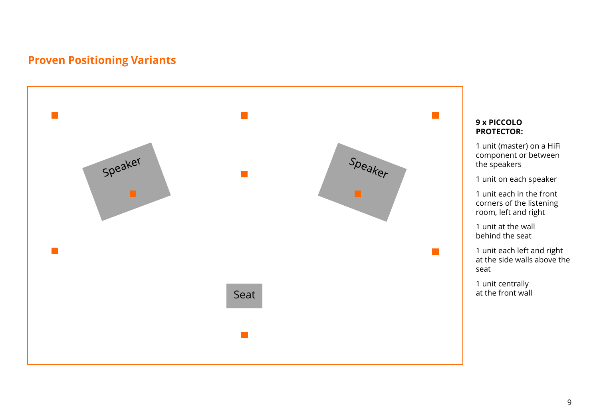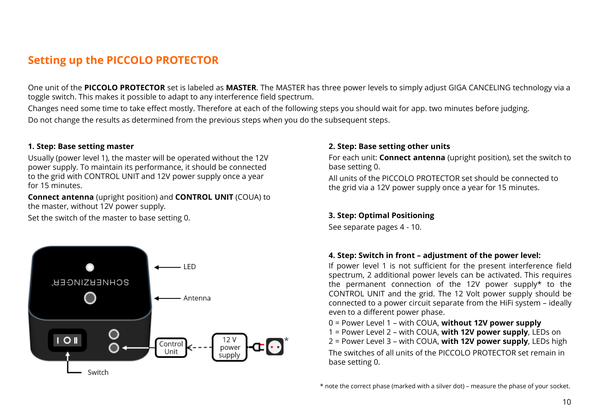## **Setting up the PICCOLO PROTECTOR**

One unit of the **PICCOLO PROTECTOR** set is labeled as **MASTER**. The MASTER has three power levels to simply adjust GIGA CANCELING technology via a toggle switch. This makes it possible to adapt to any interference field spectrum.

Changes need some time to take effect mostly. Therefore at each of the following steps you should wait for app. two minutes before judging. Do not change the results as determined from the previous steps when you do the subsequent steps.

#### **1. Step: Base setting master**

Usually (power level 1), the master will be operated without the 12V power supply. To maintain its performance, it should be connected to the grid with CONTROL UNIT and 12V power supply once a year for 15 minutes.

**Connect antenna** (upright position) and **CONTROL UNIT** (COUA) to the master, without 12V power supply.

Set the switch of the master to base setting 0. **3. Step: Optimal Positioning**



#### **2. Step: Base setting other units**

For each unit: **Connect antenna** (upright position), set the switch to base setting 0.

All units of the PICCOLO PROTECTOR set should be connected to the grid via a 12V power supply once a year for 15 minutes.

See separate pages 4 - 10.

#### **4. Step: Switch in front – adjustment of the power level:**

If power level 1 is not sufficient for the present interference field spectrum, 2 additional power levels can be activated. This requires the permanent connection of the 12V power supply\* to the CONTROL UNIT and the grid. The 12 Volt power supply should be connected to a power circuit separate from the HiFi system – ideally even to a different power phase.

0 = Power Level 1 – with COUA, **without 12V power supply**

- 1 = Power Level 2 with COUA, **with 12V power supply**, LEDs on
- 2 = Power Level 3 with COUA, **with 12V power supply**, LEDs high

The switches of all units of the PICCOLO PROTECTOR set remain in base setting 0.

<sup>\*</sup> note the correct phase (marked with a silver dot) – measure the phase of your socket.